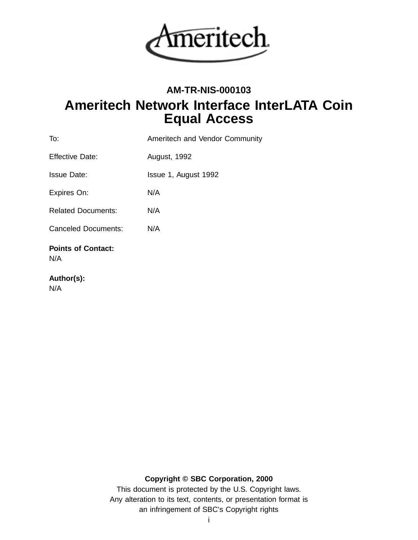

# **AM-TR-NIS-000103 Ameritech Network Interface InterLATA Coin Equal Access**

| Ameritech and Vendor Community |
|--------------------------------|
| <b>August, 1992</b>            |
| Issue 1, August 1992           |
| N/A                            |
| N/A                            |
| N/A                            |
|                                |
|                                |

**Author(s):**

N/A

**Copyright © SBC Corporation, 2000**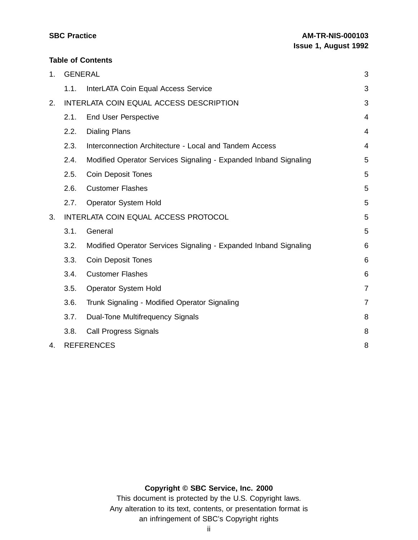|  | <b>SBC Practice</b> |
|--|---------------------|
|--|---------------------|

| <b>Table of Contents</b> |      |                                                                  |                |  |
|--------------------------|------|------------------------------------------------------------------|----------------|--|
| 1.                       |      | <b>GENERAL</b>                                                   | 3              |  |
|                          | 1.1. | InterLATA Coin Equal Access Service                              | 3              |  |
| 2.                       |      | INTERLATA COIN EQUAL ACCESS DESCRIPTION                          | 3              |  |
|                          | 2.1. | <b>End User Perspective</b>                                      | 4              |  |
|                          | 2.2. | <b>Dialing Plans</b>                                             | $\overline{4}$ |  |
|                          | 2.3. | Interconnection Architecture - Local and Tandem Access           | $\overline{4}$ |  |
|                          | 2.4. | Modified Operator Services Signaling - Expanded Inband Signaling | 5              |  |
|                          | 2.5. | <b>Coin Deposit Tones</b>                                        | 5              |  |
|                          | 2.6. | <b>Customer Flashes</b>                                          | 5              |  |
|                          | 2.7. | <b>Operator System Hold</b>                                      | 5              |  |
| 3.                       |      | INTERLATA COIN EQUAL ACCESS PROTOCOL                             | 5              |  |
|                          | 3.1. | General                                                          | 5              |  |
|                          | 3.2. | Modified Operator Services Signaling - Expanded Inband Signaling | 6              |  |
|                          | 3.3. | <b>Coin Deposit Tones</b>                                        | 6              |  |
|                          | 3.4. | <b>Customer Flashes</b>                                          | 6              |  |
|                          | 3.5. | <b>Operator System Hold</b>                                      | $\overline{7}$ |  |
|                          | 3.6. | Trunk Signaling - Modified Operator Signaling                    | $\overline{7}$ |  |
|                          | 3.7. | Dual-Tone Multifrequency Signals                                 | 8              |  |
|                          | 3.8. | <b>Call Progress Signals</b>                                     | 8              |  |

# 4. REFERENCES 8

# **Copyright © SBC Service, Inc. 2000**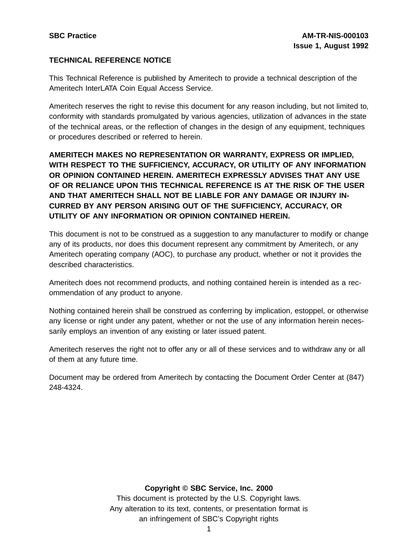# **TECHNICAL REFERENCE NOTICE**

This Technical Reference is published by Ameritech to provide a technical description of the Ameritech InterLATA Coin Equal Access Service.

Ameritech reserves the right to revise this document for any reason including, but not limited to, conformity with standards promulgated by various agencies, utilization of advances in the state of the technical areas, or the reflection of changes in the design of any equipment, techniques or procedures described or referred to herein.

**AMERITECH MAKES NO REPRESENTATION OR WARRANTY, EXPRESS OR IMPLIED, WITH RESPECT TO THE SUFFICIENCY, ACCURACY, OR UTILITY OF ANY INFORMATION OR OPINION CONTAINED HEREIN. AMERITECH EXPRESSLY ADVISES THAT ANY USE OF OR RELIANCE UPON THIS TECHNICAL REFERENCE IS AT THE RISK OF THE USER AND THAT AMERITECH SHALL NOT BE LIABLE FOR ANY DAMAGE OR INJURY IN-CURRED BY ANY PERSON ARISING OUT OF THE SUFFICIENCY, ACCURACY, OR UTILITY OF ANY INFORMATION OR OPINION CONTAINED HEREIN.**

This document is not to be construed as a suggestion to any manufacturer to modify or change any of its products, nor does this document represent any commitment by Ameritech, or any Ameritech operating company (AOC), to purchase any product, whether or not it provides the described characteristics.

Ameritech does not recommend products, and nothing contained herein is intended as a recommendation of any product to anyone.

Nothing contained herein shall be construed as conferring by implication, estoppel, or otherwise any license or right under any patent, whether or not the use of any information herein necessarily employs an invention of any existing or later issued patent.

Ameritech reserves the right not to offer any or all of these services and to withdraw any or all of them at any future time.

Document may be ordered from Ameritech by contacting the Document Order Center at (847) 248-4324.

#### **Copyright © SBC Service, Inc. 2000**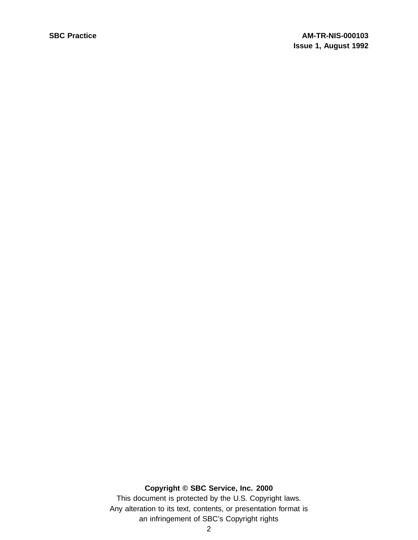# **Copyright © SBC Service, Inc. 2000**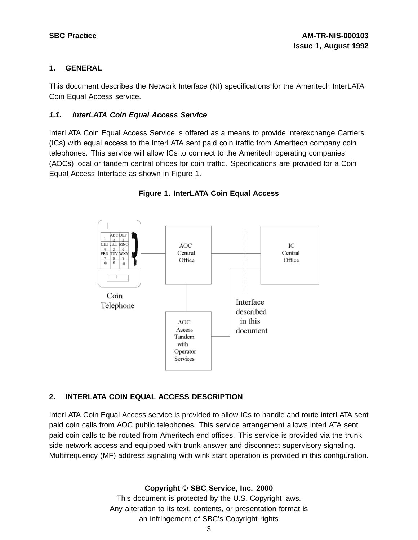# **1. GENERAL**

This document describes the Network Interface (NI) specifications for the Ameritech InterLATA Coin Equal Access service.

# **1.1. InterLATA Coin Equal Access Service**

InterLATA Coin Equal Access Service is offered as a means to provide interexchange Carriers (ICs) with equal access to the InterLATA sent paid coin traffic from Ameritech company coin telephones. This service will allow ICs to connect to the Ameritech operating companies (AOCs) local or tandem central offices for coin traffic. Specifications are provided for a Coin Equal Access Interface as shown in Figure 1.



**Figure 1. InterLATA Coin Equal Access**

# **2. INTERLATA COIN EQUAL ACCESS DESCRIPTION**

InterLATA Coin Equal Access service is provided to allow ICs to handle and route interLATA sent paid coin calls from AOC public telephones. This service arrangement allows interLATA sent paid coin calls to be routed from Ameritech end offices. This service is provided via the trunk side network access and equipped with trunk answer and disconnect supervisory signaling. Multifrequency (MF) address signaling with wink start operation is provided in this configuration.

# **Copyright © SBC Service, Inc. 2000**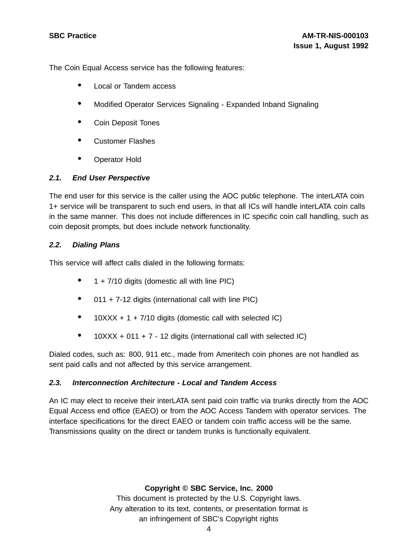The Coin Equal Access service has the following features:

- Local or Tandem access
- Modified Operator Services Signaling Expanded Inband Signaling
- Coin Deposit Tones
- Customer Flashes
- Operator Hold

# **2.1. End User Perspective**

The end user for this service is the caller using the AOC public telephone. The interLATA coin 1+ service will be transparent to such end users, in that all ICs will handle interLATA coin calls in the same manner. This does not include differences in IC specific coin call handling, such as coin deposit prompts, but does include network functionality.

#### **2.2. Dialing Plans**

This service will affect calls dialed in the following formats:

- $\bullet$  1 + 7/10 digits (domestic all with line PIC)
- <sup>011</sup> <sup>+</sup> 7-12 digits (international call with line PIC)
- 10XXX + 1 + 7/10 digits (domestic call with selected IC)
- 10XXX + 011 + 7 12 digits (international call with selected IC)

Dialed codes, such as: 800, 911 etc., made from Ameritech coin phones are not handled as sent paid calls and not affected by this service arrangement.

#### **2.3. Interconnection Architecture - Local and Tandem Access**

An IC may elect to receive their interLATA sent paid coin traffic via trunks directly from the AOC Equal Access end office (EAEO) or from the AOC Access Tandem with operator services. The interface specifications for the direct EAEO or tandem coin traffic access will be the same. Transmissions quality on the direct or tandem trunks is functionally equivalent.

#### **Copyright © SBC Service, Inc. 2000**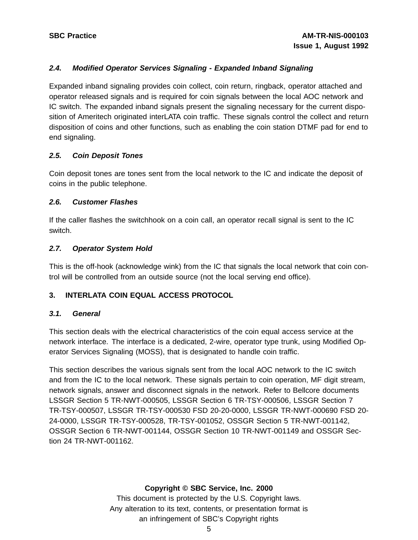### **2.4. Modified Operator Services Signaling - Expanded Inband Signaling**

Expanded inband signaling provides coin collect, coin return, ringback, operator attached and operator released signals and is required for coin signals between the local AOC network and IC switch. The expanded inband signals present the signaling necessary for the current disposition of Ameritech originated interLATA coin traffic. These signals control the collect and return disposition of coins and other functions, such as enabling the coin station DTMF pad for end to end signaling.

#### **2.5. Coin Deposit Tones**

Coin deposit tones are tones sent from the local network to the IC and indicate the deposit of coins in the public telephone.

#### **2.6. Customer Flashes**

If the caller flashes the switchhook on a coin call, an operator recall signal is sent to the IC switch.

#### **2.7. Operator System Hold**

This is the off-hook (acknowledge wink) from the IC that signals the local network that coin control will be controlled from an outside source (not the local serving end office).

#### **3. INTERLATA COIN EQUAL ACCESS PROTOCOL**

#### **3.1. General**

This section deals with the electrical characteristics of the coin equal access service at the network interface. The interface is a dedicated, 2-wire, operator type trunk, using Modified Operator Services Signaling (MOSS), that is designated to handle coin traffic.

This section describes the various signals sent from the local AOC network to the IC switch and from the IC to the local network. These signals pertain to coin operation, MF digit stream, network signals, answer and disconnect signals in the network. Refer to Bellcore documents LSSGR Section 5 TR-NWT-000505, LSSGR Section 6 TR-TSY-000506, LSSGR Section 7 TR-TSY-000507, LSSGR TR-TSY-000530 FSD 20-20-0000, LSSGR TR-NWT-000690 FSD 20- 24-0000, LSSGR TR-TSY-000528, TR-TSY-001052, OSSGR Section 5 TR-NWT-001142, OSSGR Section 6 TR-NWT-001144, OSSGR Section 10 TR-NWT-001149 and OSSGR Section 24 TR-NWT-001162.

#### **Copyright © SBC Service, Inc. 2000**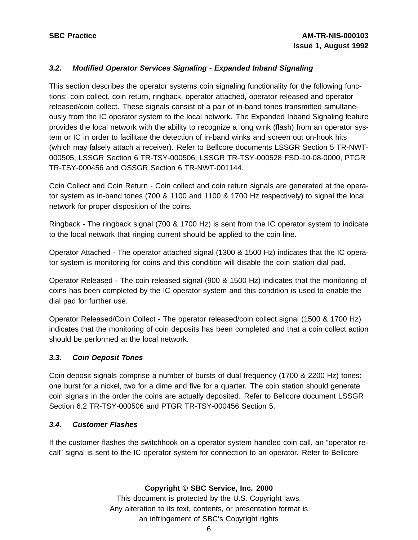### **3.2. Modified Operator Services Signaling - Expanded Inband Signaling**

This section describes the operator systems coin signaling functionality for the following functions: coin collect, coin return, ringback, operator attached, operator released and operator released/coin collect. These signals consist of a pair of in-band tones transmitted simultaneously from the IC operator system to the local network. The Expanded Inband Signaling feature provides the local network with the ability to recognize a long wink (flash) from an operator system or IC in order to facilitate the detection of in-band winks and screen out on-hook hits (which may falsely attach a receiver). Refer to Bellcore documents LSSGR Section 5 TR-NWT-000505, LSSGR Section 6 TR-TSY-000506, LSSGR TR-TSY-000528 FSD-10-08-0000, PTGR TR-TSY-000456 and OSSGR Section 6 TR-NWT-001144.

Coin Collect and Coin Return - Coin collect and coin return signals are generated at the operator system as in-band tones (700 & 1100 and 1100 & 1700 Hz respectively) to signal the local network for proper disposition of the coins.

Ringback - The ringback signal (700 & 1700 Hz) is sent from the IC operator system to indicate to the local network that ringing current should be applied to the coin line.

Operator Attached - The operator attached signal (1300 & 1500 Hz) indicates that the IC operator system is monitoring for coins and this condition will disable the coin station dial pad.

Operator Released - The coin released signal (900 & 1500 Hz) indicates that the monitoring of coins has been completed by the IC operator system and this condition is used to enable the dial pad for further use.

Operator Released/Coin Collect - The operator released/coin collect signal (1500 & 1700 Hz) indicates that the monitoring of coin deposits has been completed and that a coin collect action should be performed at the local network.

#### **3.3. Coin Deposit Tones**

Coin deposit signals comprise a number of bursts of dual frequency (1700 & 2200 Hz) tones: one burst for a nickel, two for a dime and five for a quarter. The coin station should generate coin signals in the order the coins are actually deposited. Refer to Bellcore document LSSGR Section 6.2 TR-TSY-000506 and PTGR TR-TSY-000456 Section 5.

#### **3.4. Customer Flashes**

If the customer flashes the switchhook on a operator system handled coin call, an "operator recall" signal is sent to the IC operator system for connection to an operator. Refer to Bellcore

#### **Copyright © SBC Service, Inc. 2000**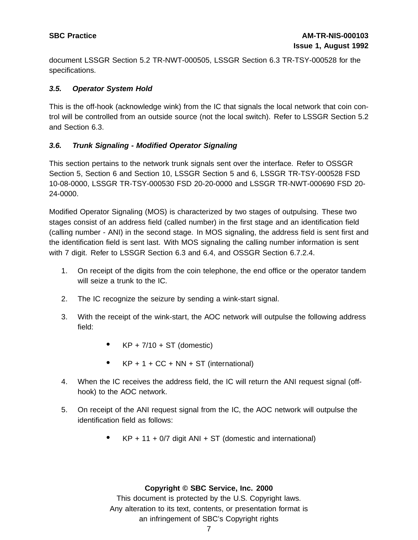document LSSGR Section 5.2 TR-NWT-000505, LSSGR Section 6.3 TR-TSY-000528 for the specifications.

# **3.5. Operator System Hold**

This is the off-hook (acknowledge wink) from the IC that signals the local network that coin control will be controlled from an outside source (not the local switch). Refer to LSSGR Section 5.2 and Section 6.3.

# **3.6. Trunk Signaling - Modified Operator Signaling**

This section pertains to the network trunk signals sent over the interface. Refer to OSSGR Section 5, Section 6 and Section 10, LSSGR Section 5 and 6, LSSGR TR-TSY-000528 FSD 10-08-0000, LSSGR TR-TSY-000530 FSD 20-20-0000 and LSSGR TR-NWT-000690 FSD 20- 24-0000.

Modified Operator Signaling (MOS) is characterized by two stages of outpulsing. These two stages consist of an address field (called number) in the first stage and an identification field (calling number - ANI) in the second stage. In MOS signaling, the address field is sent first and the identification field is sent last. With MOS signaling the calling number information is sent with 7 digit. Refer to LSSGR Section 6.3 and 6.4, and OSSGR Section 6.7.2.4.

- 1. On receipt of the digits from the coin telephone, the end office or the operator tandem will seize a trunk to the IC.
- 2. The IC recognize the seizure by sending a wink-start signal.
- 3. With the receipt of the wink-start, the AOC network will outpulse the following address field:
	- $KP + 7/10 + ST$  (domestic)
	- $KP + 1 + CC + NN + ST$  (international)
- 4. When the IC receives the address field, the IC will return the ANI request signal (offhook) to the AOC network.
- 5. On receipt of the ANI request signal from the IC, the AOC network will outpulse the identification field as follows:
	- $KP + 11 + 0/7$  digit ANI + ST (domestic and international)

#### **Copyright © SBC Service, Inc. 2000**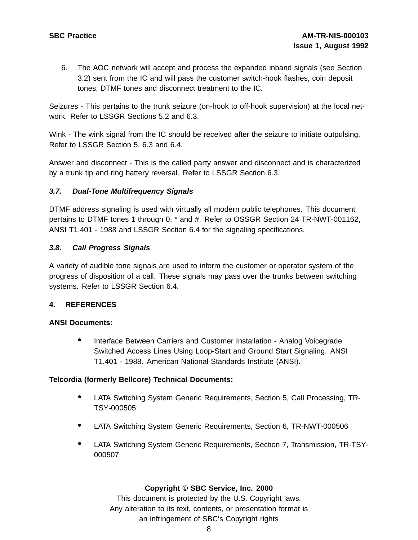6. The AOC network will accept and process the expanded inband signals (see Section 3.2) sent from the IC and will pass the customer switch-hook flashes, coin deposit tones, DTMF tones and disconnect treatment to the IC.

Seizures - This pertains to the trunk seizure (on-hook to off-hook supervision) at the local network. Refer to LSSGR Sections 5.2 and 6.3.

Wink - The wink signal from the IC should be received after the seizure to initiate outpulsing. Refer to LSSGR Section 5, 6.3 and 6.4.

Answer and disconnect - This is the called party answer and disconnect and is characterized by a trunk tip and ring battery reversal. Refer to LSSGR Section 6.3.

# **3.7. Dual-Tone Multifrequency Signals**

DTMF address signaling is used with virtually all modern public telephones. This document pertains to DTMF tones 1 through 0, \* and #. Refer to OSSGR Section 24 TR-NWT-001162, ANSI T1.401 - 1988 and LSSGR Section 6.4 for the signaling specifications.

# **3.8. Call Progress Signals**

A variety of audible tone signals are used to inform the customer or operator system of the progress of disposition of a call. These signals may pass over the trunks between switching systems. Refer to LSSGR Section 6.4.

#### **4. REFERENCES**

#### **ANSI Documents:**

• Interface Between Carriers and Customer Installation - Analog Voicegrade Switched Access Lines Using Loop-Start and Ground Start Signaling. ANSI T1.401 - 1988. American National Standards Institute (ANSI).

#### **Telcordia (formerly Bellcore) Technical Documents:**

- LATA Switching System Generic Requirements, Section 5, Call Processing, TR-TSY-000505
- LATA Switching System Generic Requirements, Section 6, TR-NWT-000506
- LATA Switching System Generic Requirements, Section 7, Transmission, TR-TSY-000507

#### **Copyright © SBC Service, Inc. 2000**